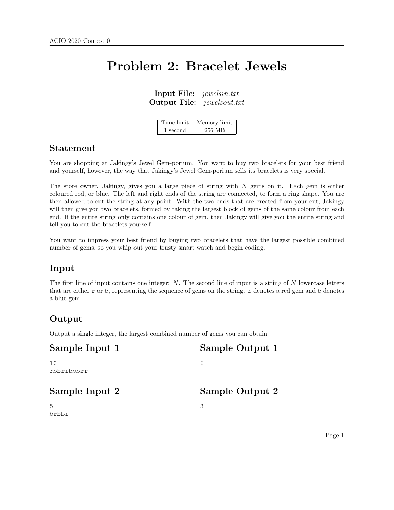# Problem 2: Bracelet Jewels

Input File: jewelsin.txt Output File: jewelsout.txt

| Time limit | Memory limit |
|------------|--------------|
| 1 second   | 256 MB       |

### Statement

You are shopping at Jakingy's Jewel Gem-porium. You want to buy two bracelets for your best friend and yourself, however, the way that Jakingy's Jewel Gem-porium sells its bracelets is very special.

The store owner, Jakingy, gives you a large piece of string with N gems on it. Each gem is either coloured red, or blue. The left and right ends of the string are connected, to form a ring shape. You are then allowed to cut the string at any point. With the two ends that are created from your cut, Jakingy will then give you two bracelets, formed by taking the largest block of gems of the same colour from each end. If the entire string only contains one colour of gem, then Jakingy will give you the entire string and tell you to cut the bracelets yourself.

You want to impress your best friend by buying two bracelets that have the largest possible combined number of gems, so you whip out your trusty smart watch and begin coding.

### Input

The first line of input contains one integer:  $N$ . The second line of input is a string of  $N$  lowercase letters that are either r or b, representing the sequence of gems on the string. r denotes a red gem and b denotes a blue gem.

# Output

Output a single integer, the largest combined number of gems you can obtain.

| Sample Input 1    | Sample Output 1 |
|-------------------|-----------------|
| 1 O<br>rbbrrbbbrr | 6               |
| Sample Input 2    | Sample Output 2 |
|                   | 3               |